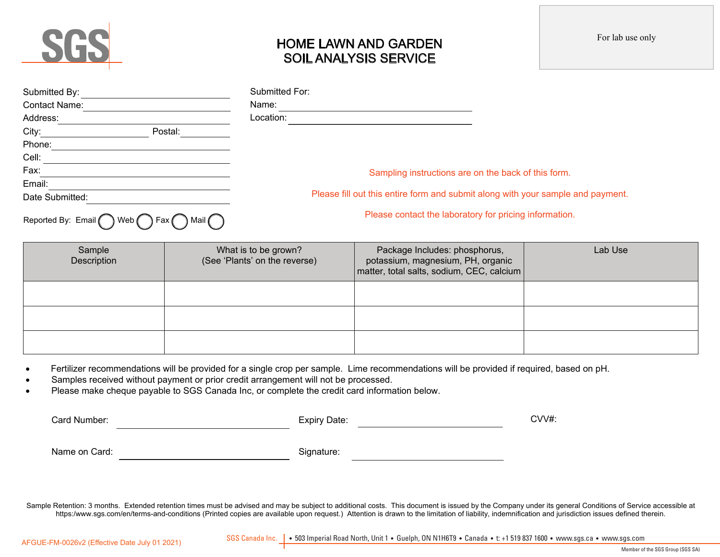

# HOME LAWN AND GARDEN SOIL ANALYSIS SERVICE

| Submitted By:        |                                                                              | Submitted For:                                                                  |
|----------------------|------------------------------------------------------------------------------|---------------------------------------------------------------------------------|
| <b>Contact Name:</b> |                                                                              | Name:                                                                           |
| Address:             |                                                                              | Location:                                                                       |
| City:                | Postal:                                                                      |                                                                                 |
| Phone:               |                                                                              |                                                                                 |
| Cell:                |                                                                              |                                                                                 |
| Fax:                 |                                                                              | Sampling instructions are on the back of this form.                             |
| Email:               |                                                                              |                                                                                 |
| Date Submitted:      |                                                                              | Please fill out this entire form and submit along with your sample and payment. |
|                      | $D$ contrad Divis Email $\bigcap$ Web $\bigcap$ Equ $\bigcap$ Mail $\bigcap$ | Please contact the laboratory for pricing information.                          |

Reported By: Email  $\bigcap$  Web  $\bigcap$  Fax  $\bigcap$  Mail

Sample **Description** What is to be grown? (See 'Plants' on the reverse) Package Includes: phosphorus, potassium, magnesium, PH, organic matter, total salts, sodium, CEC, calcium Lab Use

- Fertilizer recommendations will be provided for a single crop per sample. Lime recommendations will be provided if required, based on pH.
- Samples received without payment or prior credit arrangement will not be processed.
- Please make cheque payable to SGS Canada Inc, or complete the credit card information below.

| Card Number:  | Expiry Date: | CVV#: |
|---------------|--------------|-------|
| Name on Card: | Signature:   |       |

Sample Retention: 3 months. Extended retention times must be advised and may be subject to additional costs. This document is issued by the Company under its general Conditions of Service accessible at https:/www.sgs.com/en/terms-and-conditions (Printed copies are available upon request.) Attention is drawn to the limitation of liability, indemnification and jurisdiction issues defined therein.